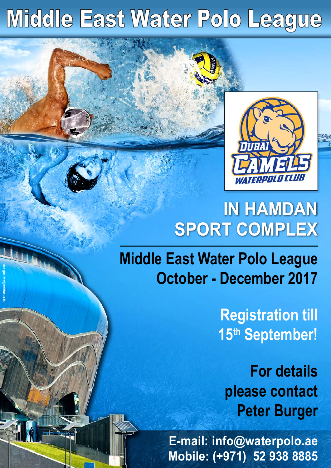# Middle East Water Polo League

WWW

**design: info@webfocus.hu**



# **IN HAMDAN SPORT COMPLEX**

**Middle East Water Polo League October - December 2017**

> **Registration till 15th September!**

**For details please contact Peter Burger**

**E-mail: info@waterpolo.ae Mobile: (+971) 52 938 8885**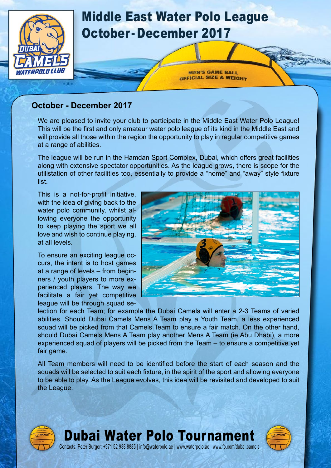

#### **October - December 2017**

We are pleased to invite your club to participate in the Middle East Water Polo League! This will be the first and only amateur water polo league of its kind in the Middle East and will provide all those within the region the opportunity to play in regular competitive games at a range of abilities.

The league will be run in the Hamdan Sport Complex, Dubai, which offers great facilities along with extensive spectator opportunities. As the league grows, there is scope for the utilistation of other facilities too, essentially to provide a "home" and "away" style fixture list.

This is a not-for-profit initiative, with the idea of giving back to the water polo community, whilst allowing everyone the opportunity to keep playing the sport we all love and wish to continue playing, at all levels.

To ensure an exciting league occurs, the intent is to host games at a range of levels – from beginners / youth players to more experienced players. The way we facilitate a fair yet competitive league will be through squad se-



lection for each Team; for example the Dubai Camels will enter a 2-3 Teams of varied abilities. Should Dubai Camels Mens A Team play a Youth Team, a less experienced squad will be picked from that Camels Team to ensure a fair match. On the other hand, should Dubai Camels Mens A Team play another Mens A Team (ie Abu Dhabi), a more experienced squad of players will be picked from the Team – to ensure a competitive yet fair game.

All Team members will need to be identified before the start of each season and the squads will be selected to suit each fixture, in the spirit of the sport and allowing everyone to be able to play. As the League evolves, this idea will be revisited and developed to suit the League.

Dubai Water Polo Tournament

Contacts: Peter Burger: [+971 52 938 8885](tel:00 971 52 938 8885) | [info@waterpolo.ae](mailto:info%40waterpolo.ae?subject=Dubai%20Water%20Polo%20Tournament) | [www.waterpolo.ae](http://www.waterpolo.ae) | [www.fb.com/dubai.camels](http://www.fb.com/dubai.camels)



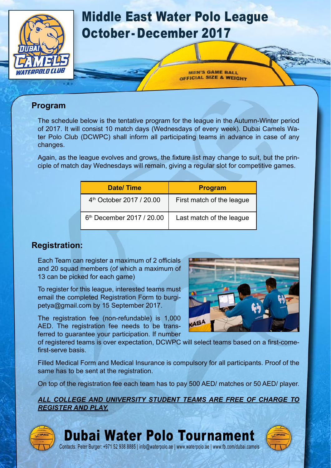

#### **Program**

The schedule below is the tentative program for the league in the Autumn-Winter period of 2017. It will consist 10 match days (Wednesdays of every week). Dubai Camels Water Polo Club (DCWPC) shall inform all participating teams in advance in case of any changes.

Again, as the league evolves and grows, the fixture list may change to suit, but the principle of match day Wednesdays will remain, giving a regular slot for competitive games.

| <b>Date/Time</b>                      | <b>Program</b>            |  |  |
|---------------------------------------|---------------------------|--|--|
| 4 <sup>th</sup> October 2017 / 20.00  | First match of the league |  |  |
| 6 <sup>th</sup> December 2017 / 20.00 | Last match of the league  |  |  |

#### **Registration:**

Each Team can register a maximum of 2 officials and 20 squad members (of which a maximum of 13 can be picked for each game)

To register for this league, interested teams must email the completed Registration Form to burgipetya@gmail.com by 15 September 2017.

The registration fee (non-refundable) is 1,000 AED. The registration fee needs to be transferred to guarantee your participation. If number

of registered teams is over expectation, DCWPC will select teams based on a first-comefirst-serve basis.

Filled Medical Form and Medical Insurance is compulsory for all participants. Proof of the same has to be sent at the registration.

On top of the registration fee each team has to pay 500 AED/ matches or 50 AED/ player.

*ALL COLLEGE AND UNIVERSITY STUDENT TEAMS ARE FREE OF CHARGE TO REGISTER AND PLAY.*



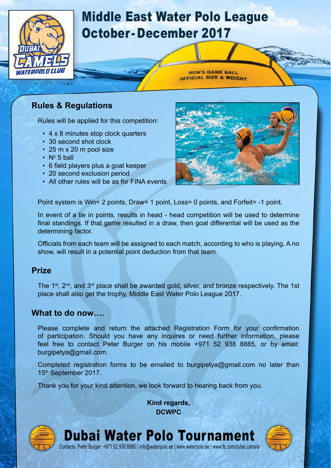

### Middle East Water Polo League October- December 2017

**MEN'S GAME BALL** OFFICIAL SIZE & WEIGHT

#### **Rules & Regulations**

Rules will be applied for this competition:

- 4 x 8 minutes stop clock quarters
- 30 second shot clock
- 25 m x 20 m pool size
- N° 5 ball
- 6 field players plus a goal keeper
- 20 second exclusion period
- All other rules will be as for FINA events



Point system is Win= 2 points, Draw= 1 point, Loss= 0 points, and Forfeit= -1 point.

In event of a tie in points, results in head - head competition will be used to determine final standings. If that game resulted in a draw, then goal differential will be used as the determining factor.

Officials from each team will be assigned to each match, according to who is playing. A no show, will result in a potential point deduction from that team.

#### **Prize**

The  $1^{st}$ ,  $2^{nd}$ , and  $3^{rd}$  place shall be awarded gold, silver, and bronze respectively. The 1st place shall also get the trophy, Middle East Water Polo League 2017.

#### **What to do now….**

Please complete and return the attached Registration Form for your confirmation of participation. Should you have any inquires or need further information, please feel free to contact Peter Burger on his mobile +971 52 938 8885, or by email: burgipetya@gmail.com.

Completed registration forms to be emailed to burgipetya@gmail.com no later than 15th September 2017.

Thank you for your kind attention, we look forward to hearing back from you.

**Kind regards, DCWPC**



#### Dubai Water Polo Tournament Contacts: Peter Burger: +971 52 938 8885 | info@waterpolo.ae | www.waterpolo.ae | www.fb.com/dubai.camels